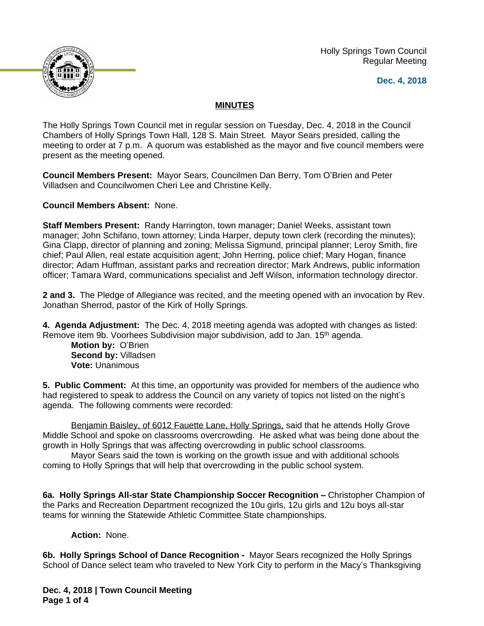Holly Springs Town Council Regular Meeting





## **MINUTES**

The Holly Springs Town Council met in regular session on Tuesday, Dec. 4, 2018 in the Council Chambers of Holly Springs Town Hall, 128 S. Main Street. Mayor Sears presided, calling the meeting to order at 7 p.m. A quorum was established as the mayor and five council members were present as the meeting opened.

**Council Members Present:** Mayor Sears, Councilmen Dan Berry, Tom O'Brien and Peter Villadsen and Councilwomen Cheri Lee and Christine Kelly.

**Council Members Absent:** None.

**Staff Members Present:** Randy Harrington, town manager; Daniel Weeks, assistant town manager; John Schifano, town attorney; Linda Harper, deputy town clerk (recording the minutes); Gina Clapp, director of planning and zoning; Melissa Sigmund, principal planner; Leroy Smith, fire chief; Paul Allen, real estate acquisition agent; John Herring, police chief; Mary Hogan, finance director; Adam Huffman, assistant parks and recreation director; Mark Andrews, public information officer; Tamara Ward, communications specialist and Jeff Wilson, information technology director.

**2 and 3.** The Pledge of Allegiance was recited, and the meeting opened with an invocation by Rev. Jonathan Sherrod, pastor of the Kirk of Holly Springs.

**4. Agenda Adjustment:** The Dec. 4, 2018 meeting agenda was adopted with changes as listed: Remove item 9b. Voorhees Subdivision major subdivision, add to Jan. 15th agenda.

**Motion by:** O'Brien **Second by:** Villadsen **Vote:** Unanimous

**5. Public Comment:** At this time, an opportunity was provided for members of the audience who had registered to speak to address the Council on any variety of topics not listed on the night's agenda. The following comments were recorded:

Benjamin Baisley, of 6012 Fauette Lane, Holly Springs, said that he attends Holly Grove Middle School and spoke on classrooms overcrowding. He asked what was being done about the growth in Holly Springs that was affecting overcrowding in public school classrooms.

Mayor Sears said the town is working on the growth issue and with additional schools coming to Holly Springs that will help that overcrowding in the public school system.

**6a. Holly Springs All-star State Championship Soccer Recognition –** Christopher Champion of the Parks and Recreation Department recognized the 10u girls, 12u girls and 12u boys all-star teams for winning the Statewide Athletic Committee State championships.

**Action:** None.

**6b. Holly Springs School of Dance Recognition -** Mayor Sears recognized the Holly Springs School of Dance select team who traveled to New York City to perform in the Macy's Thanksgiving

**Dec. 4, 2018 | Town Council Meeting Page 1 of 4**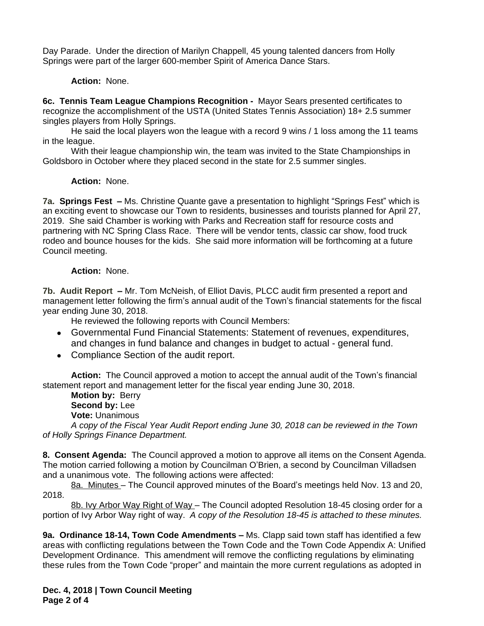Day Parade. Under the direction of Marilyn Chappell, 45 young talented dancers from Holly Springs were part of the larger 600-member Spirit of America Dance Stars.

## **Action:** None.

**6c. Tennis Team League Champions Recognition -** Mayor Sears presented certificates to recognize the accomplishment of the USTA (United States Tennis Association) 18+ 2.5 summer singles players from Holly Springs.

He said the local players won the league with a record 9 wins / 1 loss among the 11 teams in the league.

With their league championship win, the team was invited to the State Championships in Goldsboro in October where they placed second in the state for 2.5 summer singles.

## **Action:** None.

**7a. Springs Fest –** Ms. Christine Quante gave a presentation to highlight "Springs Fest" which is an exciting event to showcase our Town to residents, businesses and tourists planned for April 27, 2019. She said Chamber is working with Parks and Recreation staff for resource costs and partnering with NC Spring Class Race. There will be vendor tents, classic car show, food truck rodeo and bounce houses for the kids. She said more information will be forthcoming at a future Council meeting.

## **Action:** None.

**7b. Audit Report –** Mr. Tom McNeish, of Elliot Davis, PLCC audit firm presented a report and management letter following the firm's annual audit of the Town's financial statements for the fiscal year ending June 30, 2018.

He reviewed the following reports with Council Members:

- Governmental Fund Financial Statements: Statement of revenues, expenditures, and changes in fund balance and changes in budget to actual - general fund.
- Compliance Section of the audit report.

**Action:** The Council approved a motion to accept the annual audit of the Town's financial statement report and management letter for the fiscal year ending June 30, 2018.

**Motion by:** Berry **Second by:** Lee **Vote:** Unanimous

*A copy of the Fiscal Year Audit Report ending June 30, 2018 can be reviewed in the Town of Holly Springs Finance Department.*

**8. Consent Agenda:** The Council approved a motion to approve all items on the Consent Agenda. The motion carried following a motion by Councilman O'Brien, a second by Councilman Villadsen and a unanimous vote. The following actions were affected:

8a. Minutes – The Council approved minutes of the Board's meetings held Nov. 13 and 20, 2018.

8b. Ivy Arbor Way Right of Way - The Council adopted Resolution 18-45 closing order for a portion of Ivy Arbor Way right of way. *A copy of the Resolution 18-45 is attached to these minutes.*

**9a. Ordinance 18-14, Town Code Amendments –** Ms. Clapp said town staff has identified a few areas with conflicting regulations between the Town Code and the Town Code Appendix A: Unified Development Ordinance. This amendment will remove the conflicting regulations by eliminating these rules from the Town Code "proper" and maintain the more current regulations as adopted in

**Dec. 4, 2018 | Town Council Meeting Page 2 of 4**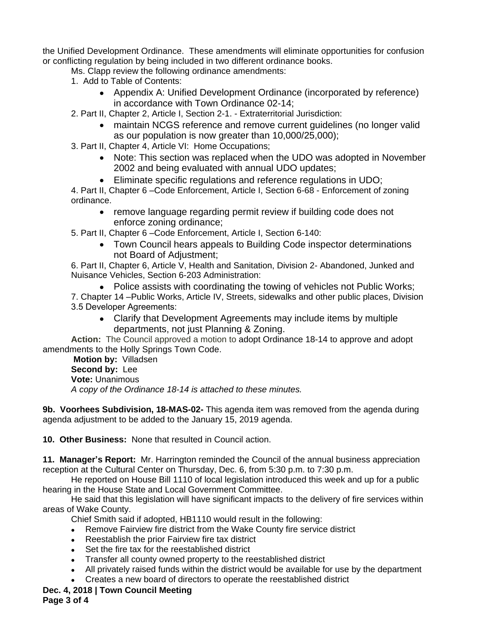the Unified Development Ordinance. These amendments will eliminate opportunities for confusion or conflicting regulation by being included in two different ordinance books.

Ms. Clapp review the following ordinance amendments:

- 1. Add to Table of Contents:
	- Appendix A: Unified Development Ordinance (incorporated by reference) in accordance with Town Ordinance 02-14;
- 2. Part II, Chapter 2, Article I, Section 2-1. Extraterritorial Jurisdiction:
	- maintain NCGS reference and remove current guidelines (no longer valid as our population is now greater than 10,000/25,000);
- 3. Part II, Chapter 4, Article VI: Home Occupations;
	- Note: This section was replaced when the UDO was adopted in November 2002 and being evaluated with annual UDO updates;
	- Eliminate specific regulations and reference regulations in UDO;

4. Part II, Chapter 6 –Code Enforcement, Article I, Section 6-68 - Enforcement of zoning ordinance.

• remove language regarding permit review if building code does not enforce zoning ordinance;

5. Part II, Chapter 6 –Code Enforcement, Article I, Section 6-140:

 Town Council hears appeals to Building Code inspector determinations not Board of Adjustment;

6. Part II, Chapter 6, Article V, Health and Sanitation, Division 2- Abandoned, Junked and Nuisance Vehicles, Section 6-203 Administration:

• Police assists with coordinating the towing of vehicles not Public Works;

7. Chapter 14 –Public Works, Article IV, Streets, sidewalks and other public places, Division 3.5 Developer Agreements:

 Clarify that Development Agreements may include items by multiple departments, not just Planning & Zoning.

**Action:** The Council approved a motion to adopt Ordinance 18-14 to approve and adopt amendments to the Holly Springs Town Code.

**Motion by:** Villadsen **Second by:** Lee **Vote:** Unanimous *A copy of the Ordinance 18-14 is attached to these minutes.*

**9b. Voorhees Subdivision, 18-MAS-02-** This agenda item was removed from the agenda during agenda adjustment to be added to the January 15, 2019 agenda.

**10. Other Business:** None that resulted in Council action.

**11. Manager's Report:** Mr. Harrington reminded the Council of the annual business appreciation reception at the Cultural Center on Thursday, Dec. 6, from 5:30 p.m. to 7:30 p.m.

He reported on House Bill 1110 of local legislation introduced this week and up for a public hearing in the House State and Local Government Committee.

He said that this legislation will have significant impacts to the delivery of fire services within areas of Wake County.

Chief Smith said if adopted, HB1110 would result in the following:

- Remove Fairview fire district from the Wake County fire service district
- Reestablish the prior Fairview fire tax district
- Set the fire tax for the reestablished district
- Transfer all county owned property to the reestablished district
- All privately raised funds within the district would be available for use by the department
- Creates a new board of directors to operate the reestablished district

**Dec. 4, 2018 | Town Council Meeting**

**Page 3 of 4**